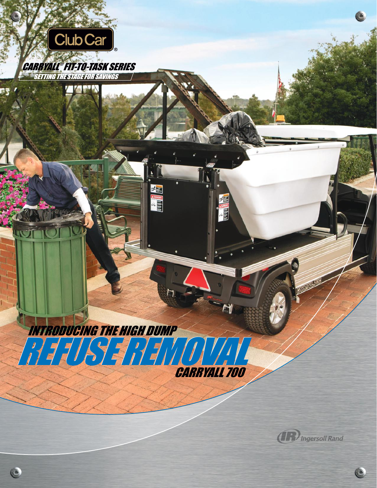

CARRYALL ® FIT-TO-TASK SERIES**SETTING THE STAGE FOR SAVINGS** 

**MARY N** 

REFUSE REMOVAL REFUSE REMOVAL

ADAMGER

INTRODUCING THE HIGH DUMP

C

CARRYALL 700

E